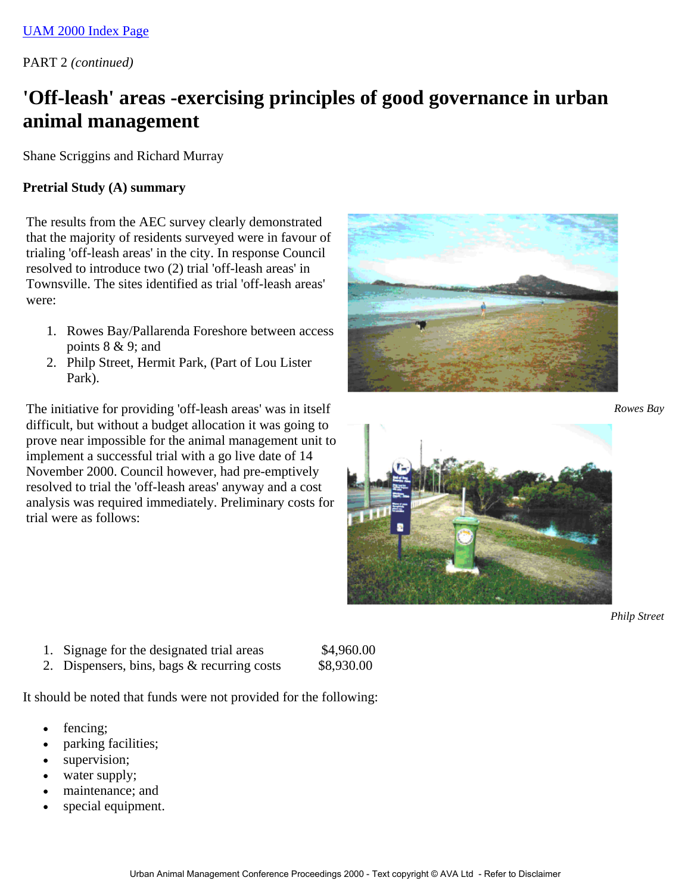PART 2 *(continued)*

# **'Off-leash' areas -exercising principles of good governance in urban animal management**

Shane Scriggins and Richard Murray

#### **Pretrial Study (A) summary**

The results from the AEC survey clearly demonstrated that the majority of residents surveyed were in favour of trialing 'off-leash areas' in the city. In response Council resolved to introduce two (2) trial 'off-leash areas' in Townsville. The sites identified as trial 'off-leash areas' were:

- 1. Rowes Bay/Pallarenda Foreshore between access points  $8 \& 9$ ; and
- 2. Philp Street, Hermit Park, (Part of Lou Lister Park).

The initiative for providing 'off-leash areas' was in itself difficult, but without a budget allocation it was going to prove near impossible for the animal management unit to implement a successful trial with a go live date of 14 November 2000. Council however, had pre-emptively resolved to trial the 'off-leash areas' anyway and a cost analysis was required immediately. Preliminary costs for trial were as follows:



*Rowes Bay*



*Philp Street*

- 1. Signage for the designated trial areas \$4,960.00
- 2. Dispensers, bins, bags  $&$  recurring costs  $$8,930.00$

It should be noted that funds were not provided for the following:

- fencing;
- parking facilities;
- supervision;
- water supply;
- maintenance; and
- special equipment.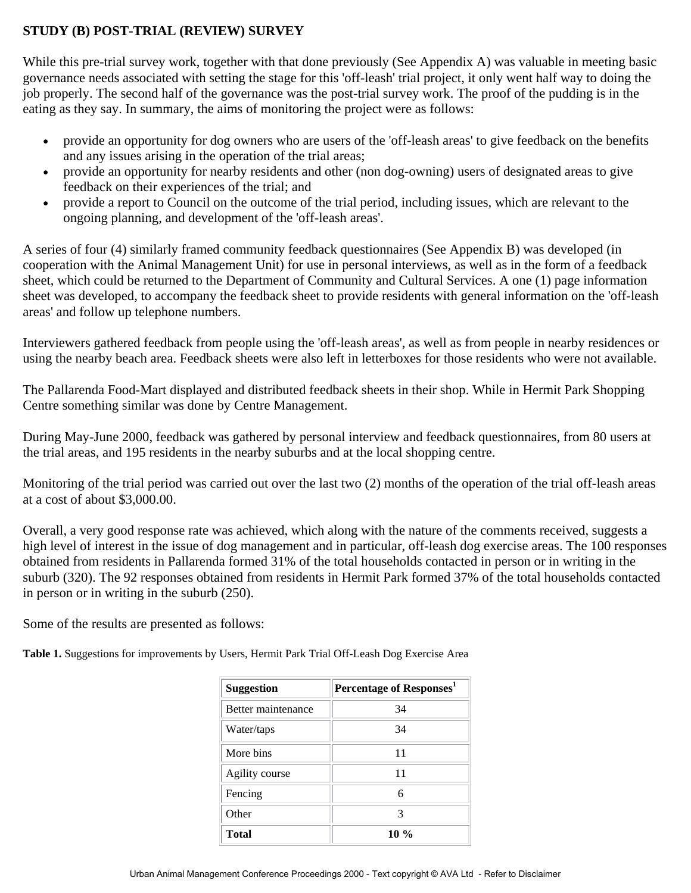## **STUDY (B) POST-TRIAL (REVIEW) SURVEY**

While this pre-trial survey work, together with that done previously (See Appendix A) was valuable in meeting basic governance needs associated with setting the stage for this 'off-leash' trial project, it only went half way to doing the job properly. The second half of the governance was the post-trial survey work. The proof of the pudding is in the eating as they say. In summary, the aims of monitoring the project were as follows:

- provide an opportunity for dog owners who are users of the 'off-leash areas' to give feedback on the benefits and any issues arising in the operation of the trial areas;
- provide an opportunity for nearby residents and other (non dog-owning) users of designated areas to give feedback on their experiences of the trial; and
- provide a report to Council on the outcome of the trial period, including issues, which are relevant to the ongoing planning, and development of the 'off-leash areas'.

A series of four (4) similarly framed community feedback questionnaires (See Appendix B) was developed (in cooperation with the Animal Management Unit) for use in personal interviews, as well as in the form of a feedback sheet, which could be returned to the Department of Community and Cultural Services. A one (1) page information sheet was developed, to accompany the feedback sheet to provide residents with general information on the 'off-leash areas' and follow up telephone numbers.

Interviewers gathered feedback from people using the 'off-leash areas', as well as from people in nearby residences or using the nearby beach area. Feedback sheets were also left in letterboxes for those residents who were not available.

The Pallarenda Food-Mart displayed and distributed feedback sheets in their shop. While in Hermit Park Shopping Centre something similar was done by Centre Management.

During May-June 2000, feedback was gathered by personal interview and feedback questionnaires, from 80 users at the trial areas, and 195 residents in the nearby suburbs and at the local shopping centre.

Monitoring of the trial period was carried out over the last two (2) months of the operation of the trial off-leash areas at a cost of about \$3,000.00.

Overall, a very good response rate was achieved, which along with the nature of the comments received, suggests a high level of interest in the issue of dog management and in particular, off-leash dog exercise areas. The 100 responses obtained from residents in Pallarenda formed 31% of the total households contacted in person or in writing in the suburb (320). The 92 responses obtained from residents in Hermit Park formed 37% of the total households contacted in person or in writing in the suburb (250).

Some of the results are presented as follows:

**Table 1.** Suggestions for improvements by Users, Hermit Park Trial Off-Leash Dog Exercise Area

| <b>Suggestion</b>  | Percentage of Responses <sup>1</sup> |
|--------------------|--------------------------------------|
| Better maintenance | 34                                   |
| Water/taps         | 34                                   |
| More bins          | 11                                   |
| Agility course     | 11                                   |
| Fencing            | 6                                    |
| Other              | 3                                    |
| <b>Total</b>       | $10\%$                               |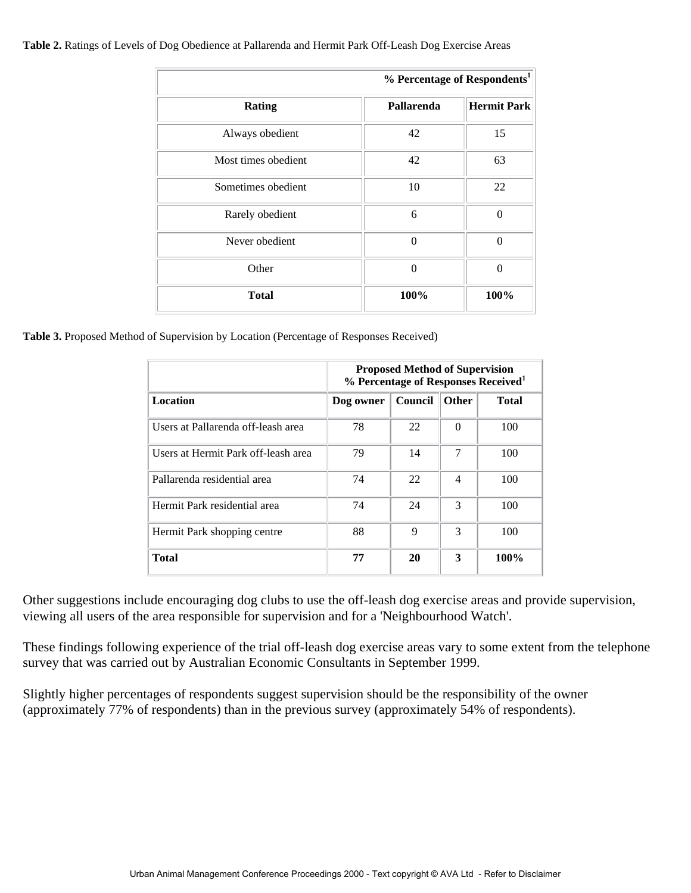#### **Table 2.** Ratings of Levels of Dog Obedience at Pallarenda and Hermit Park Off-Leash Dog Exercise Areas

|                     |            | % Percentage of Respondents <sup>1</sup> |
|---------------------|------------|------------------------------------------|
| <b>Rating</b>       | Pallarenda | <b>Hermit Park</b>                       |
| Always obedient     | 42         | 15                                       |
| Most times obedient | 42         | 63                                       |
| Sometimes obedient  | 10         | 22                                       |
| Rarely obedient     | 6          | $\Omega$                                 |
| Never obedient      | $\Omega$   | $\Omega$                                 |
| Other               | $\Omega$   | $\Omega$                                 |
| <b>Total</b>        | 100%       | 100%                                     |

**Table 3.** Proposed Method of Supervision by Location (Percentage of Responses Received)

|                                     | <b>Proposed Method of Supervision</b><br>% Percentage of Responses Received <sup>1</sup> |         |                |              |
|-------------------------------------|------------------------------------------------------------------------------------------|---------|----------------|--------------|
| <b>Location</b>                     | Dog owner                                                                                | Council | Other          | <b>Total</b> |
| Users at Pallarenda off-leash area  | 78                                                                                       | 22      | $\Omega$       | 100          |
| Users at Hermit Park off-leash area | 79                                                                                       | 14      | 7              | 100          |
| Pallarenda residential area         | 74                                                                                       | 22      | $\overline{4}$ | 100          |
| Hermit Park residential area        | 74                                                                                       | 24      | $\mathcal{R}$  | 100          |
| Hermit Park shopping centre         | 88                                                                                       | 9       | $\mathcal{R}$  | 100          |
| Total                               | 77                                                                                       | 20      | 3              | 100%         |

Other suggestions include encouraging dog clubs to use the off-leash dog exercise areas and provide supervision, viewing all users of the area responsible for supervision and for a 'Neighbourhood Watch'.

These findings following experience of the trial off-leash dog exercise areas vary to some extent from the telephone survey that was carried out by Australian Economic Consultants in September 1999.

Slightly higher percentages of respondents suggest supervision should be the responsibility of the owner (approximately 77% of respondents) than in the previous survey (approximately 54% of respondents).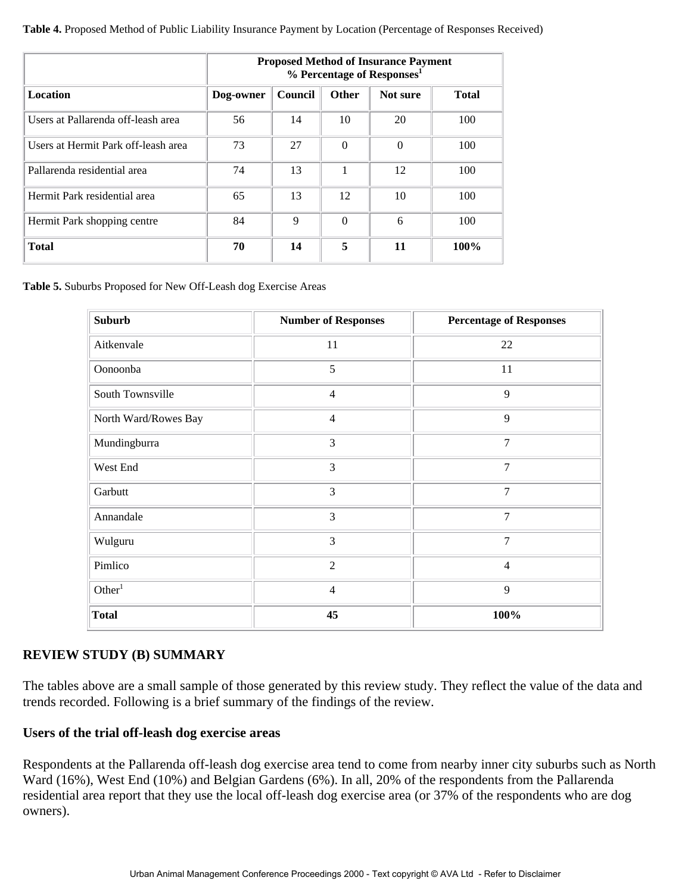**Table 4.** Proposed Method of Public Liability Insurance Payment by Location (Percentage of Responses Received)

|                                     | <b>Proposed Method of Insurance Payment</b><br>% Percentage of Responses <sup>1</sup> |                |              |          |              |
|-------------------------------------|---------------------------------------------------------------------------------------|----------------|--------------|----------|--------------|
| <b>Location</b>                     | Dog-owner                                                                             | <b>Council</b> | <b>Other</b> | Not sure | <b>Total</b> |
| Users at Pallarenda off-leash area  | 56                                                                                    | 14             | 10           | 20       | 100          |
| Users at Hermit Park off-leash area | 73                                                                                    | 27             | $\Omega$     | $\Omega$ | 100          |
| Pallarenda residential area         | 74                                                                                    | 13             | 1            | 12       | 100          |
| Hermit Park residential area        | 65                                                                                    | 13             | 12           | 10       | 100          |
| Hermit Park shopping centre         | 84                                                                                    | 9              | $\Omega$     | 6        | 100          |
| <b>Total</b>                        | 70                                                                                    | 14             | 5            | 11       | 100%         |

**Table 5.** Suburbs Proposed for New Off-Leash dog Exercise Areas

| <b>Suburb</b>        | <b>Number of Responses</b> | <b>Percentage of Responses</b> |
|----------------------|----------------------------|--------------------------------|
| Aitkenvale           | 11                         | 22                             |
| Oonoonba             | 5                          | 11                             |
| South Townsville     | $\overline{4}$             | 9                              |
| North Ward/Rowes Bay | $\overline{4}$             | 9                              |
| Mundingburra         | 3                          | 7                              |
| West End             | 3                          | $\overline{7}$                 |
| Garbutt              | 3                          | $\overline{7}$                 |
| Annandale            | 3                          | $\overline{7}$                 |
| Wulguru              | 3                          | 7                              |
| Pimlico              | $\overline{2}$             | $\overline{4}$                 |
| Other <sup>1</sup>   | $\overline{4}$             | 9                              |
| <b>Total</b>         | 45                         | 100%                           |

#### **REVIEW STUDY (B) SUMMARY**

The tables above are a small sample of those generated by this review study. They reflect the value of the data and trends recorded. Following is a brief summary of the findings of the review.

#### **Users of the trial off-leash dog exercise areas**

Respondents at the Pallarenda off-leash dog exercise area tend to come from nearby inner city suburbs such as North Ward (16%), West End (10%) and Belgian Gardens (6%). In all, 20% of the respondents from the Pallarenda residential area report that they use the local off-leash dog exercise area (or 37% of the respondents who are dog owners).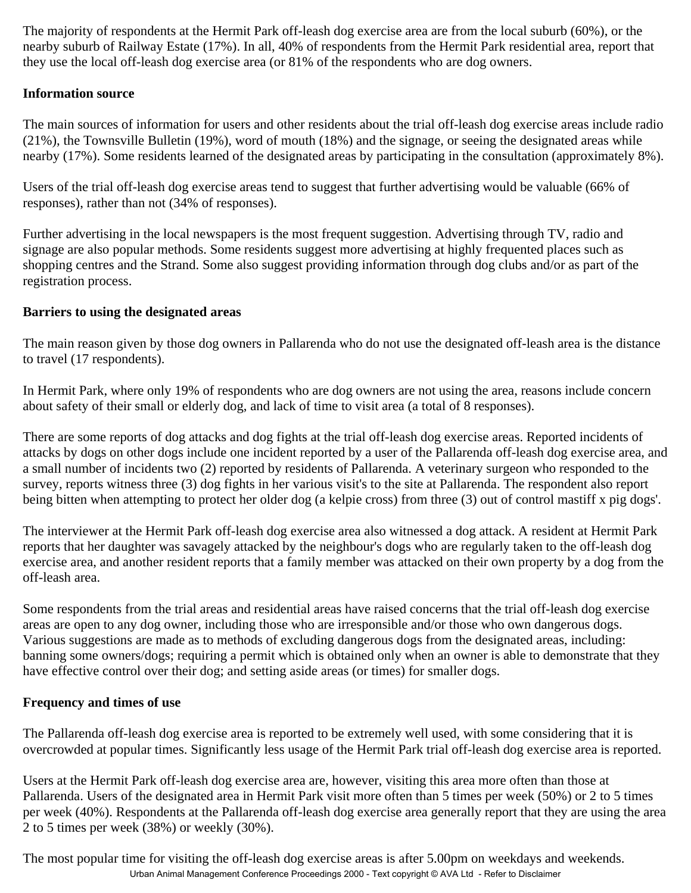The majority of respondents at the Hermit Park off-leash dog exercise area are from the local suburb (60%), or the nearby suburb of Railway Estate (17%). In all, 40% of respondents from the Hermit Park residential area, report that they use the local off-leash dog exercise area (or 81% of the respondents who are dog owners.

#### **Information source**

The main sources of information for users and other residents about the trial off-leash dog exercise areas include radio (21%), the Townsville Bulletin (19%), word of mouth (18%) and the signage, or seeing the designated areas while nearby (17%). Some residents learned of the designated areas by participating in the consultation (approximately 8%).

Users of the trial off-leash dog exercise areas tend to suggest that further advertising would be valuable (66% of responses), rather than not (34% of responses).

Further advertising in the local newspapers is the most frequent suggestion. Advertising through TV, radio and signage are also popular methods. Some residents suggest more advertising at highly frequented places such as shopping centres and the Strand. Some also suggest providing information through dog clubs and/or as part of the registration process.

#### **Barriers to using the designated areas**

The main reason given by those dog owners in Pallarenda who do not use the designated off-leash area is the distance to travel (17 respondents).

In Hermit Park, where only 19% of respondents who are dog owners are not using the area, reasons include concern about safety of their small or elderly dog, and lack of time to visit area (a total of 8 responses).

There are some reports of dog attacks and dog fights at the trial off-leash dog exercise areas. Reported incidents of attacks by dogs on other dogs include one incident reported by a user of the Pallarenda off-leash dog exercise area, and a small number of incidents two (2) reported by residents of Pallarenda. A veterinary surgeon who responded to the survey, reports witness three (3) dog fights in her various visit's to the site at Pallarenda. The respondent also report being bitten when attempting to protect her older dog (a kelpie cross) from three (3) out of control mastiff x pig dogs'.

The interviewer at the Hermit Park off-leash dog exercise area also witnessed a dog attack. A resident at Hermit Park reports that her daughter was savagely attacked by the neighbour's dogs who are regularly taken to the off-leash dog exercise area, and another resident reports that a family member was attacked on their own property by a dog from the off-leash area.

Some respondents from the trial areas and residential areas have raised concerns that the trial off-leash dog exercise areas are open to any dog owner, including those who are irresponsible and/or those who own dangerous dogs. Various suggestions are made as to methods of excluding dangerous dogs from the designated areas, including: banning some owners/dogs; requiring a permit which is obtained only when an owner is able to demonstrate that they have effective control over their dog; and setting aside areas (or times) for smaller dogs.

#### **Frequency and times of use**

The Pallarenda off-leash dog exercise area is reported to be extremely well used, with some considering that it is overcrowded at popular times. Significantly less usage of the Hermit Park trial off-leash dog exercise area is reported.

Users at the Hermit Park off-leash dog exercise area are, however, visiting this area more often than those at Pallarenda. Users of the designated area in Hermit Park visit more often than 5 times per week (50%) or 2 to 5 times per week (40%). Respondents at the Pallarenda off-leash dog exercise area generally report that they are using the area 2 to 5 times per week (38%) or weekly (30%).

The most popular time for visiting the off-leash dog exercise areas is after 5.00pm on weekdays and weekends. Urban Animal Management Conference Proceedings 2000 - Text copyright © AVA Ltd - Refer to Disclaimer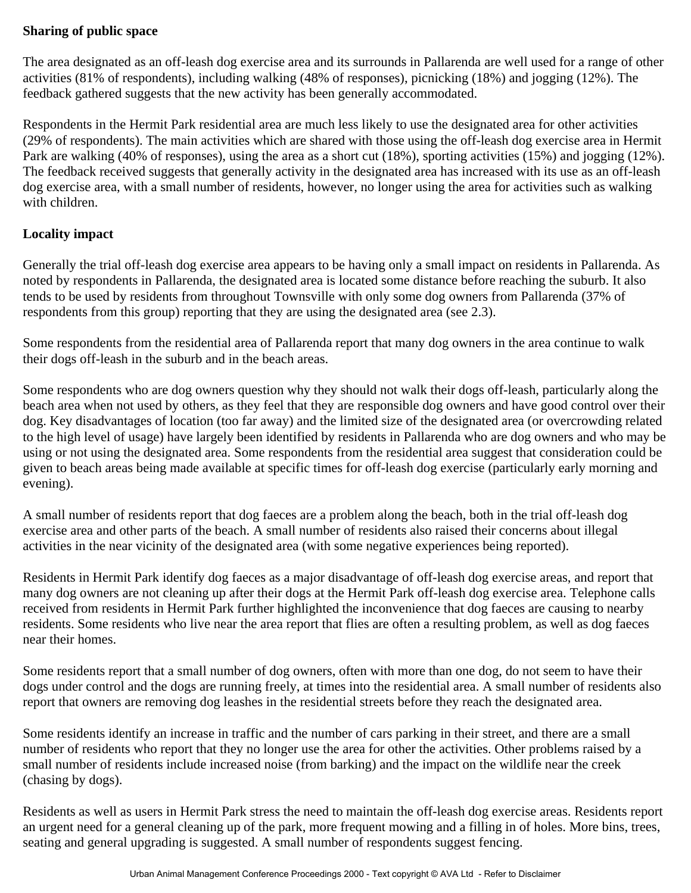## **Sharing of public space**

The area designated as an off-leash dog exercise area and its surrounds in Pallarenda are well used for a range of other activities (81% of respondents), including walking (48% of responses), picnicking (18%) and jogging (12%). The feedback gathered suggests that the new activity has been generally accommodated.

Respondents in the Hermit Park residential area are much less likely to use the designated area for other activities (29% of respondents). The main activities which are shared with those using the off-leash dog exercise area in Hermit Park are walking (40% of responses), using the area as a short cut (18%), sporting activities (15%) and jogging (12%). The feedback received suggests that generally activity in the designated area has increased with its use as an off-leash dog exercise area, with a small number of residents, however, no longer using the area for activities such as walking with children.

### **Locality impact**

Generally the trial off-leash dog exercise area appears to be having only a small impact on residents in Pallarenda. As noted by respondents in Pallarenda, the designated area is located some distance before reaching the suburb. It also tends to be used by residents from throughout Townsville with only some dog owners from Pallarenda (37% of respondents from this group) reporting that they are using the designated area (see 2.3).

Some respondents from the residential area of Pallarenda report that many dog owners in the area continue to walk their dogs off-leash in the suburb and in the beach areas.

Some respondents who are dog owners question why they should not walk their dogs off-leash, particularly along the beach area when not used by others, as they feel that they are responsible dog owners and have good control over their dog. Key disadvantages of location (too far away) and the limited size of the designated area (or overcrowding related to the high level of usage) have largely been identified by residents in Pallarenda who are dog owners and who may be using or not using the designated area. Some respondents from the residential area suggest that consideration could be given to beach areas being made available at specific times for off-leash dog exercise (particularly early morning and evening).

A small number of residents report that dog faeces are a problem along the beach, both in the trial off-leash dog exercise area and other parts of the beach. A small number of residents also raised their concerns about illegal activities in the near vicinity of the designated area (with some negative experiences being reported).

Residents in Hermit Park identify dog faeces as a major disadvantage of off-leash dog exercise areas, and report that many dog owners are not cleaning up after their dogs at the Hermit Park off-leash dog exercise area. Telephone calls received from residents in Hermit Park further highlighted the inconvenience that dog faeces are causing to nearby residents. Some residents who live near the area report that flies are often a resulting problem, as well as dog faeces near their homes.

Some residents report that a small number of dog owners, often with more than one dog, do not seem to have their dogs under control and the dogs are running freely, at times into the residential area. A small number of residents also report that owners are removing dog leashes in the residential streets before they reach the designated area.

Some residents identify an increase in traffic and the number of cars parking in their street, and there are a small number of residents who report that they no longer use the area for other the activities. Other problems raised by a small number of residents include increased noise (from barking) and the impact on the wildlife near the creek (chasing by dogs).

Residents as well as users in Hermit Park stress the need to maintain the off-leash dog exercise areas. Residents report an urgent need for a general cleaning up of the park, more frequent mowing and a filling in of holes. More bins, trees, seating and general upgrading is suggested. A small number of respondents suggest fencing.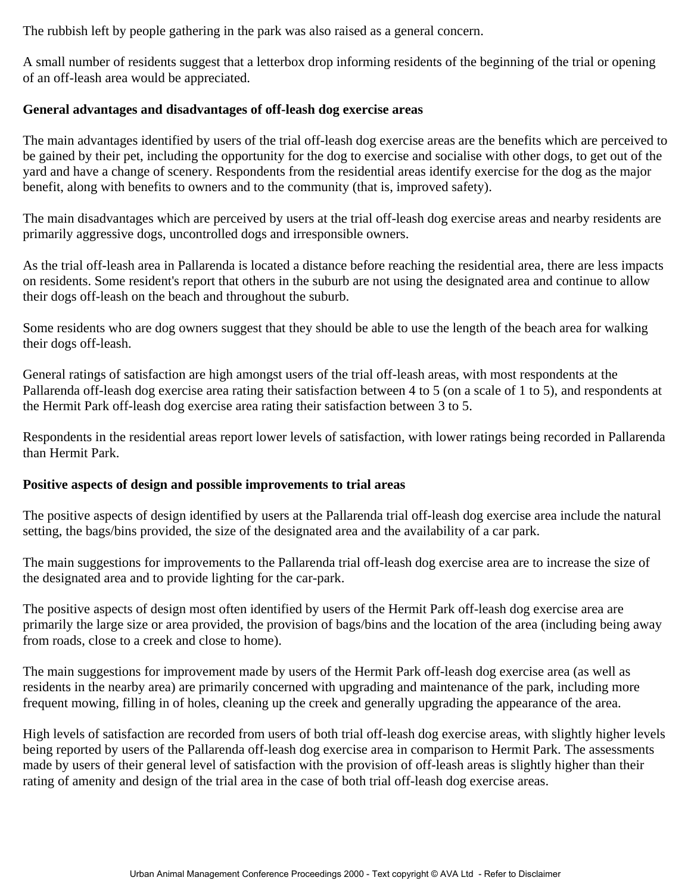The rubbish left by people gathering in the park was also raised as a general concern.

A small number of residents suggest that a letterbox drop informing residents of the beginning of the trial or opening of an off-leash area would be appreciated.

#### **General advantages and disadvantages of off-leash dog exercise areas**

The main advantages identified by users of the trial off-leash dog exercise areas are the benefits which are perceived to be gained by their pet, including the opportunity for the dog to exercise and socialise with other dogs, to get out of the yard and have a change of scenery. Respondents from the residential areas identify exercise for the dog as the major benefit, along with benefits to owners and to the community (that is, improved safety).

The main disadvantages which are perceived by users at the trial off-leash dog exercise areas and nearby residents are primarily aggressive dogs, uncontrolled dogs and irresponsible owners.

As the trial off-leash area in Pallarenda is located a distance before reaching the residential area, there are less impacts on residents. Some resident's report that others in the suburb are not using the designated area and continue to allow their dogs off-leash on the beach and throughout the suburb.

Some residents who are dog owners suggest that they should be able to use the length of the beach area for walking their dogs off-leash.

General ratings of satisfaction are high amongst users of the trial off-leash areas, with most respondents at the Pallarenda off-leash dog exercise area rating their satisfaction between 4 to 5 (on a scale of 1 to 5), and respondents at the Hermit Park off-leash dog exercise area rating their satisfaction between 3 to 5.

Respondents in the residential areas report lower levels of satisfaction, with lower ratings being recorded in Pallarenda than Hermit Park.

#### **Positive aspects of design and possible improvements to trial areas**

The positive aspects of design identified by users at the Pallarenda trial off-leash dog exercise area include the natural setting, the bags/bins provided, the size of the designated area and the availability of a car park.

The main suggestions for improvements to the Pallarenda trial off-leash dog exercise area are to increase the size of the designated area and to provide lighting for the car-park.

The positive aspects of design most often identified by users of the Hermit Park off-leash dog exercise area are primarily the large size or area provided, the provision of bags/bins and the location of the area (including being away from roads, close to a creek and close to home).

The main suggestions for improvement made by users of the Hermit Park off-leash dog exercise area (as well as residents in the nearby area) are primarily concerned with upgrading and maintenance of the park, including more frequent mowing, filling in of holes, cleaning up the creek and generally upgrading the appearance of the area.

High levels of satisfaction are recorded from users of both trial off-leash dog exercise areas, with slightly higher levels being reported by users of the Pallarenda off-leash dog exercise area in comparison to Hermit Park. The assessments made by users of their general level of satisfaction with the provision of off-leash areas is slightly higher than their rating of amenity and design of the trial area in the case of both trial off-leash dog exercise areas.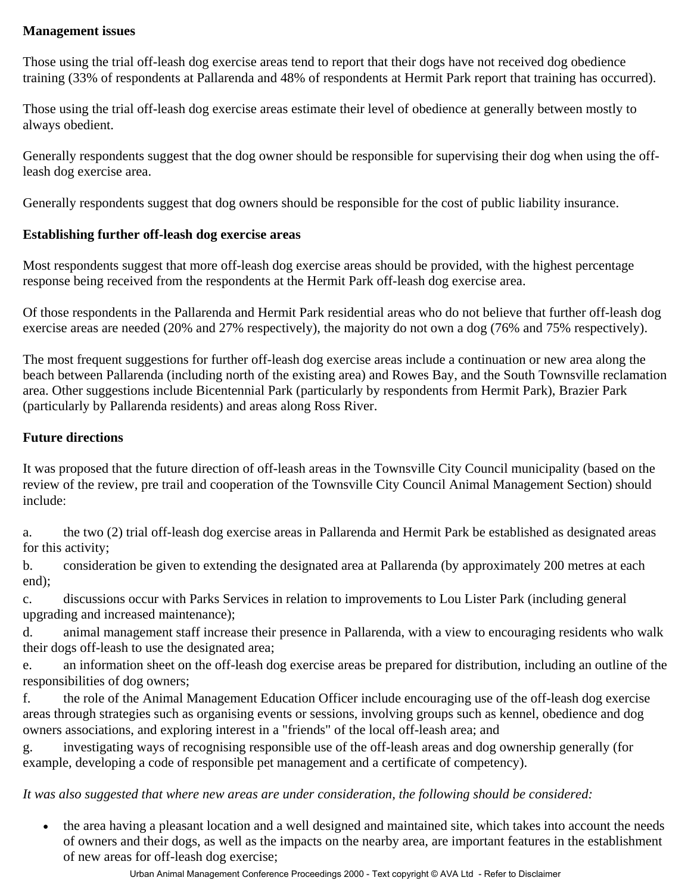## **Management issues**

Those using the trial off-leash dog exercise areas tend to report that their dogs have not received dog obedience training (33% of respondents at Pallarenda and 48% of respondents at Hermit Park report that training has occurred).

Those using the trial off-leash dog exercise areas estimate their level of obedience at generally between mostly to always obedient.

Generally respondents suggest that the dog owner should be responsible for supervising their dog when using the offleash dog exercise area.

Generally respondents suggest that dog owners should be responsible for the cost of public liability insurance.

## **Establishing further off-leash dog exercise areas**

Most respondents suggest that more off-leash dog exercise areas should be provided, with the highest percentage response being received from the respondents at the Hermit Park off-leash dog exercise area.

Of those respondents in the Pallarenda and Hermit Park residential areas who do not believe that further off-leash dog exercise areas are needed (20% and 27% respectively), the majority do not own a dog (76% and 75% respectively).

The most frequent suggestions for further off-leash dog exercise areas include a continuation or new area along the beach between Pallarenda (including north of the existing area) and Rowes Bay, and the South Townsville reclamation area. Other suggestions include Bicentennial Park (particularly by respondents from Hermit Park), Brazier Park (particularly by Pallarenda residents) and areas along Ross River.

## **Future directions**

It was proposed that the future direction of off-leash areas in the Townsville City Council municipality (based on the review of the review, pre trail and cooperation of the Townsville City Council Animal Management Section) should include:

a. the two (2) trial off-leash dog exercise areas in Pallarenda and Hermit Park be established as designated areas for this activity;

b. consideration be given to extending the designated area at Pallarenda (by approximately 200 metres at each end);

c. discussions occur with Parks Services in relation to improvements to Lou Lister Park (including general upgrading and increased maintenance);

d. animal management staff increase their presence in Pallarenda, with a view to encouraging residents who walk their dogs off-leash to use the designated area;

e. an information sheet on the off-leash dog exercise areas be prepared for distribution, including an outline of the responsibilities of dog owners;

f. the role of the Animal Management Education Officer include encouraging use of the off-leash dog exercise areas through strategies such as organising events or sessions, involving groups such as kennel, obedience and dog owners associations, and exploring interest in a "friends" of the local off-leash area; and

g. investigating ways of recognising responsible use of the off-leash areas and dog ownership generally (for example, developing a code of responsible pet management and a certificate of competency).

*It was also suggested that where new areas are under consideration, the following should be considered:*

• the area having a pleasant location and a well designed and maintained site, which takes into account the needs of owners and their dogs, as well as the impacts on the nearby area, are important features in the establishment of new areas for off-leash dog exercise;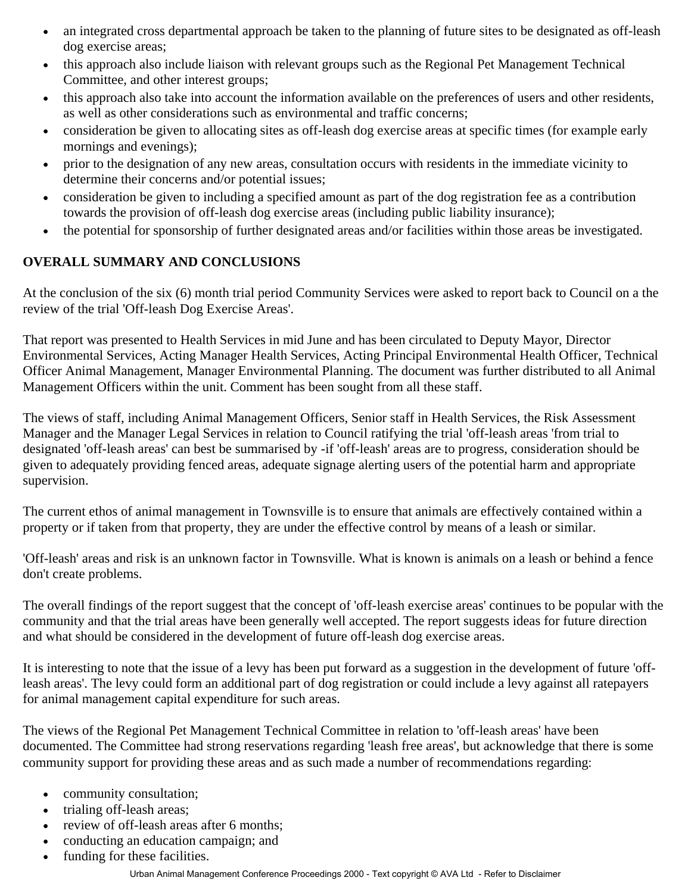- an integrated cross departmental approach be taken to the planning of future sites to be designated as off-leash dog exercise areas;
- this approach also include liaison with relevant groups such as the Regional Pet Management Technical Committee, and other interest groups;
- this approach also take into account the information available on the preferences of users and other residents, as well as other considerations such as environmental and traffic concerns;
- consideration be given to allocating sites as off-leash dog exercise areas at specific times (for example early mornings and evenings);
- prior to the designation of any new areas, consultation occurs with residents in the immediate vicinity to determine their concerns and/or potential issues;
- consideration be given to including a specified amount as part of the dog registration fee as a contribution towards the provision of off-leash dog exercise areas (including public liability insurance);
- the potential for sponsorship of further designated areas and/or facilities within those areas be investigated.

## **OVERALL SUMMARY AND CONCLUSIONS**

At the conclusion of the six (6) month trial period Community Services were asked to report back to Council on a the review of the trial 'Off-leash Dog Exercise Areas'.

That report was presented to Health Services in mid June and has been circulated to Deputy Mayor, Director Environmental Services, Acting Manager Health Services, Acting Principal Environmental Health Officer, Technical Officer Animal Management, Manager Environmental Planning. The document was further distributed to all Animal Management Officers within the unit. Comment has been sought from all these staff.

The views of staff, including Animal Management Officers, Senior staff in Health Services, the Risk Assessment Manager and the Manager Legal Services in relation to Council ratifying the trial 'off-leash areas 'from trial to designated 'off-leash areas' can best be summarised by -if 'off-leash' areas are to progress, consideration should be given to adequately providing fenced areas, adequate signage alerting users of the potential harm and appropriate supervision.

The current ethos of animal management in Townsville is to ensure that animals are effectively contained within a property or if taken from that property, they are under the effective control by means of a leash or similar.

'Off-leash' areas and risk is an unknown factor in Townsville. What is known is animals on a leash or behind a fence don't create problems.

The overall findings of the report suggest that the concept of 'off-leash exercise areas' continues to be popular with the community and that the trial areas have been generally well accepted. The report suggests ideas for future direction and what should be considered in the development of future off-leash dog exercise areas.

It is interesting to note that the issue of a levy has been put forward as a suggestion in the development of future 'offleash areas'. The levy could form an additional part of dog registration or could include a levy against all ratepayers for animal management capital expenditure for such areas.

The views of the Regional Pet Management Technical Committee in relation to 'off-leash areas' have been documented. The Committee had strong reservations regarding 'leash free areas', but acknowledge that there is some community support for providing these areas and as such made a number of recommendations regarding:

- community consultation;
- trialing off-leash areas;
- review of off-leash areas after 6 months;
- conducting an education campaign; and
- funding for these facilities.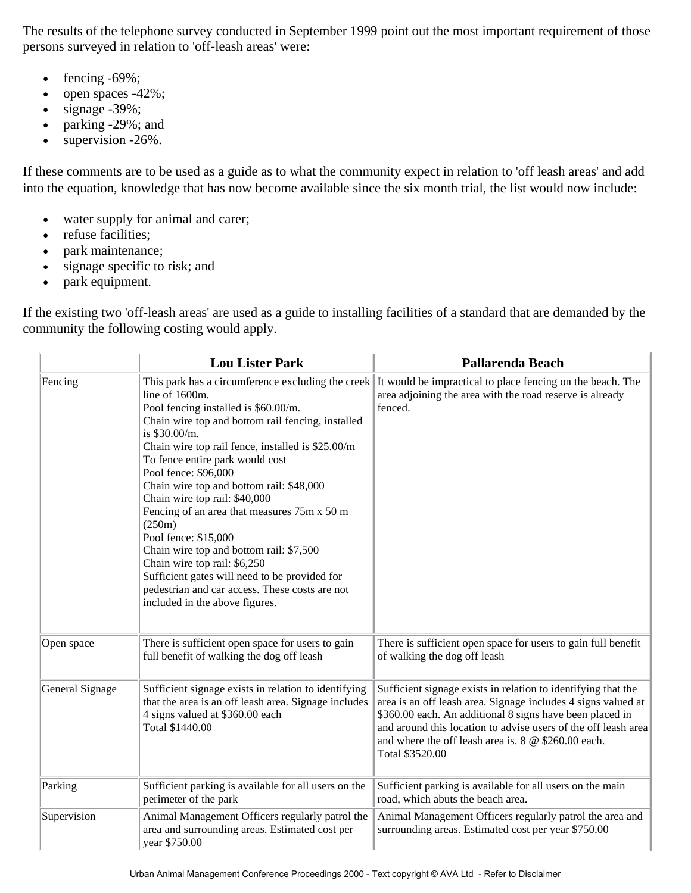The results of the telephone survey conducted in September 1999 point out the most important requirement of those persons surveyed in relation to 'off-leash areas' were:

- fencing  $-69\%$ ;
- open spaces -42%;
- $\bullet$  signage -39%;
- parking -29%; and
- supervision -26%.

If these comments are to be used as a guide as to what the community expect in relation to 'off leash areas' and add into the equation, knowledge that has now become available since the six month trial, the list would now include:

- water supply for animal and carer;
- refuse facilities;
- park maintenance;
- signage specific to risk; and
- park equipment.

If the existing two 'off-leash areas' are used as a guide to installing facilities of a standard that are demanded by the community the following costing would apply.

|                 | <b>Lou Lister Park</b>                                                                                                                                                                                                                                                                                                                                                                                                                                                                                                                                                                                                                                                          | Pallarenda Beach                                                                                                                                                                                                                                                                                                                         |
|-----------------|---------------------------------------------------------------------------------------------------------------------------------------------------------------------------------------------------------------------------------------------------------------------------------------------------------------------------------------------------------------------------------------------------------------------------------------------------------------------------------------------------------------------------------------------------------------------------------------------------------------------------------------------------------------------------------|------------------------------------------------------------------------------------------------------------------------------------------------------------------------------------------------------------------------------------------------------------------------------------------------------------------------------------------|
| Fencing         | This park has a circumference excluding the creek<br>line of 1600m.<br>Pool fencing installed is \$60.00/m.<br>Chain wire top and bottom rail fencing, installed<br>is \$30.00/m.<br>Chain wire top rail fence, installed is \$25.00/m<br>To fence entire park would cost<br>Pool fence: \$96,000<br>Chain wire top and bottom rail: \$48,000<br>Chain wire top rail: \$40,000<br>Fencing of an area that measures 75m x 50 m<br>(250m)<br>Pool fence: \$15,000<br>Chain wire top and bottom rail: \$7,500<br>Chain wire top rail: \$6,250<br>Sufficient gates will need to be provided for<br>pedestrian and car access. These costs are not<br>included in the above figures. | It would be impractical to place fencing on the beach. The<br>area adjoining the area with the road reserve is already<br>fenced.                                                                                                                                                                                                        |
| Open space      | There is sufficient open space for users to gain<br>full benefit of walking the dog off leash                                                                                                                                                                                                                                                                                                                                                                                                                                                                                                                                                                                   | There is sufficient open space for users to gain full benefit<br>of walking the dog off leash                                                                                                                                                                                                                                            |
| General Signage | Sufficient signage exists in relation to identifying<br>that the area is an off leash area. Signage includes<br>4 signs valued at \$360.00 each<br>Total \$1440.00                                                                                                                                                                                                                                                                                                                                                                                                                                                                                                              | Sufficient signage exists in relation to identifying that the<br>area is an off leash area. Signage includes 4 signs valued at<br>\$360.00 each. An additional 8 signs have been placed in<br>and around this location to advise users of the off leash area<br>and where the off leash area is. $8 \& $260.00$ each.<br>Total \$3520.00 |
| Parking         | Sufficient parking is available for all users on the<br>perimeter of the park                                                                                                                                                                                                                                                                                                                                                                                                                                                                                                                                                                                                   | Sufficient parking is available for all users on the main<br>road, which abuts the beach area.                                                                                                                                                                                                                                           |
| Supervision     | Animal Management Officers regularly patrol the<br>area and surrounding areas. Estimated cost per<br>year \$750.00                                                                                                                                                                                                                                                                                                                                                                                                                                                                                                                                                              | Animal Management Officers regularly patrol the area and<br>surrounding areas. Estimated cost per year \$750.00                                                                                                                                                                                                                          |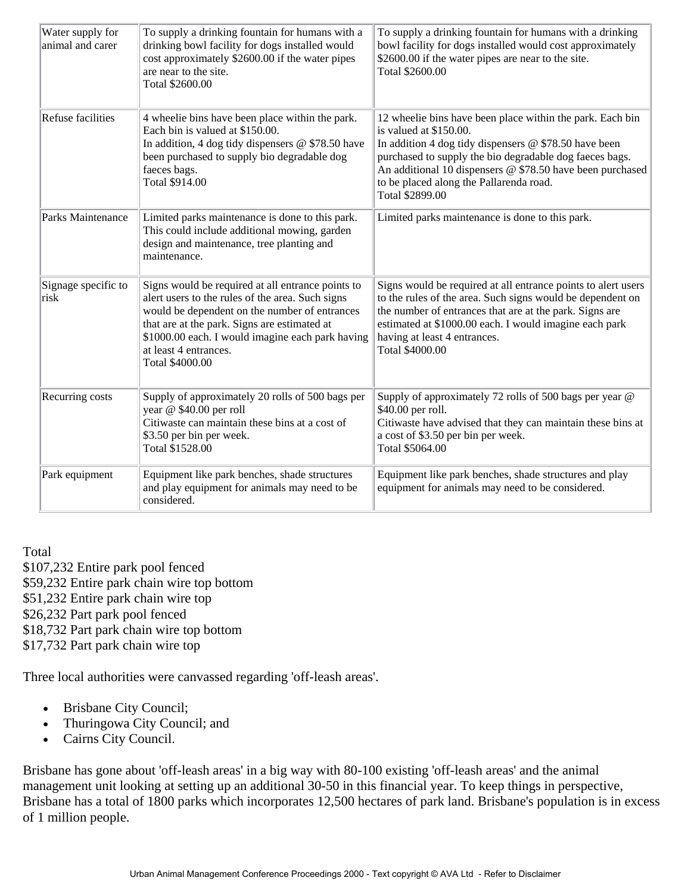| Water supply for<br>animal and carer | To supply a drinking fountain for humans with a<br>drinking bowl facility for dogs installed would<br>cost approximately \$2600.00 if the water pipes<br>are near to the site.<br>Total \$2600.00                                                                                                      | To supply a drinking fountain for humans with a drinking<br>bowl facility for dogs installed would cost approximately<br>\$2600.00 if the water pipes are near to the site.<br>Total \$2600.00                                                                                                                                       |
|--------------------------------------|--------------------------------------------------------------------------------------------------------------------------------------------------------------------------------------------------------------------------------------------------------------------------------------------------------|--------------------------------------------------------------------------------------------------------------------------------------------------------------------------------------------------------------------------------------------------------------------------------------------------------------------------------------|
| Refuse facilities                    | 4 wheelie bins have been place within the park.<br>Each bin is valued at \$150.00.<br>In addition, 4 dog tidy dispensers $@$ \$78.50 have<br>been purchased to supply bio degradable dog<br>faeces bags.<br>Total \$914.00                                                                             | 12 wheelie bins have been place within the park. Each bin<br>is valued at \$150.00.<br>In addition 4 dog tidy dispensers $@$ \$78.50 have been<br>purchased to supply the bio degradable dog faeces bags.<br>An additional 10 dispensers @ \$78.50 have been purchased<br>to be placed along the Pallarenda road.<br>Total \$2899.00 |
| Parks Maintenance                    | Limited parks maintenance is done to this park.<br>This could include additional mowing, garden<br>design and maintenance, tree planting and<br>maintenance.                                                                                                                                           | Limited parks maintenance is done to this park.                                                                                                                                                                                                                                                                                      |
| Signage specific to<br>risk          | Signs would be required at all entrance points to<br>alert users to the rules of the area. Such signs<br>would be dependent on the number of entrances<br>that are at the park. Signs are estimated at<br>\$1000.00 each. I would imagine each park having<br>at least 4 entrances.<br>Total \$4000.00 | Signs would be required at all entrance points to alert users<br>to the rules of the area. Such signs would be dependent on<br>the number of entrances that are at the park. Signs are<br>estimated at \$1000.00 each. I would imagine each park<br>having at least 4 entrances.<br>Total \$4000.00                                  |
| Recurring costs                      | Supply of approximately 20 rolls of 500 bags per<br>year @ \$40.00 per roll<br>Citiwaste can maintain these bins at a cost of<br>\$3.50 per bin per week.<br>Total \$1528.00                                                                                                                           | Supply of approximately 72 rolls of 500 bags per year @<br>\$40.00 per roll.<br>Citiwaste have advised that they can maintain these bins at<br>a cost of \$3.50 per bin per week.<br>Total \$5064.00                                                                                                                                 |
| Park equipment                       | Equipment like park benches, shade structures<br>and play equipment for animals may need to be<br>considered.                                                                                                                                                                                          | Equipment like park benches, shade structures and play<br>equipment for animals may need to be considered.                                                                                                                                                                                                                           |

#### Total

\$107,232 Entire park pool fenced \$59,232 Entire park chain wire top bottom \$51,232 Entire park chain wire top \$26,232 Part park pool fenced \$18,732 Part park chain wire top bottom \$17,732 Part park chain wire top

Three local authorities were canvassed regarding 'off-leash areas'.

- Brisbane City Council;
- Thuringowa City Council; and
- Cairns City Council.

Brisbane has gone about 'off-leash areas' in a big way with 80-100 existing 'off-leash areas' and the animal management unit looking at setting up an additional 30-50 in this financial year. To keep things in perspective, Brisbane has a total of 1800 parks which incorporates 12,500 hectares of park land. Brisbane's population is in excess of 1 million people.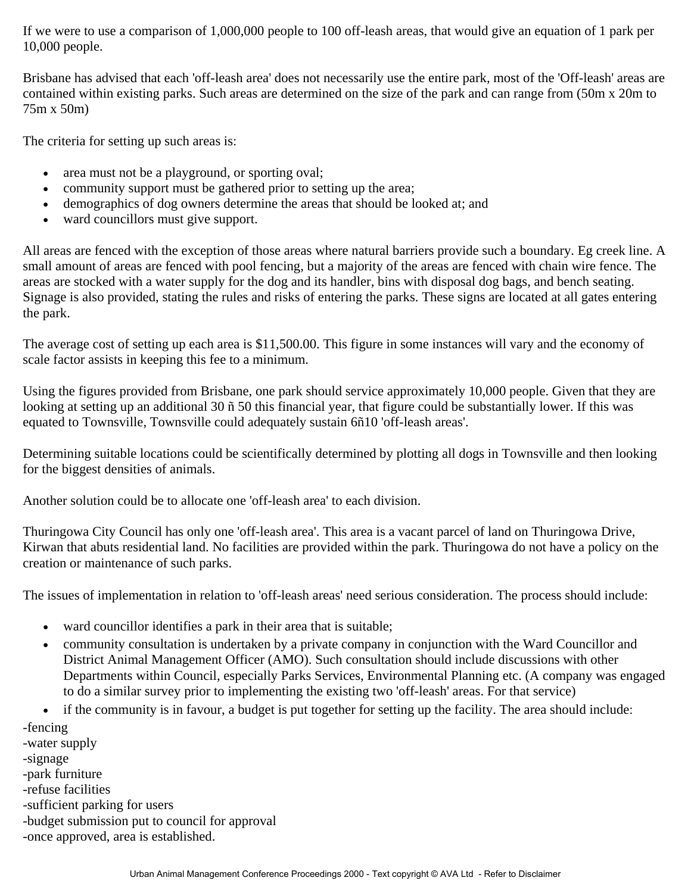If we were to use a comparison of 1,000,000 people to 100 off-leash areas, that would give an equation of 1 park per 10,000 people.

Brisbane has advised that each 'off-leash area' does not necessarily use the entire park, most of the 'Off-leash' areas are contained within existing parks. Such areas are determined on the size of the park and can range from (50m x 20m to 75m x 50m)

The criteria for setting up such areas is:

- area must not be a playground, or sporting oval;
- community support must be gathered prior to setting up the area;
- demographics of dog owners determine the areas that should be looked at; and
- ward councillors must give support.

All areas are fenced with the exception of those areas where natural barriers provide such a boundary. Eg creek line. A small amount of areas are fenced with pool fencing, but a majority of the areas are fenced with chain wire fence. The areas are stocked with a water supply for the dog and its handler, bins with disposal dog bags, and bench seating. Signage is also provided, stating the rules and risks of entering the parks. These signs are located at all gates entering the park.

The average cost of setting up each area is \$11,500.00. This figure in some instances will vary and the economy of scale factor assists in keeping this fee to a minimum.

Using the figures provided from Brisbane, one park should service approximately 10,000 people. Given that they are looking at setting up an additional 30 ñ 50 this financial year, that figure could be substantially lower. If this was equated to Townsville, Townsville could adequately sustain 6ñ10 'off-leash areas'.

Determining suitable locations could be scientifically determined by plotting all dogs in Townsville and then looking for the biggest densities of animals.

Another solution could be to allocate one 'off-leash area' to each division.

Thuringowa City Council has only one 'off-leash area'. This area is a vacant parcel of land on Thuringowa Drive, Kirwan that abuts residential land. No facilities are provided within the park. Thuringowa do not have a policy on the creation or maintenance of such parks.

The issues of implementation in relation to 'off-leash areas' need serious consideration. The process should include:

- ward councillor identifies a park in their area that is suitable;
- community consultation is undertaken by a private company in conjunction with the Ward Councillor and District Animal Management Officer (AMO). Such consultation should include discussions with other Departments within Council, especially Parks Services, Environmental Planning etc. (A company was engaged to do a similar survey prior to implementing the existing two 'off-leash' areas. For that service)
- if the community is in favour, a budget is put together for setting up the facility. The area should include:
- -fencing
- -water supply
- -signage
- -park furniture
- -refuse facilities
- -sufficient parking for users
- -budget submission put to council for approval
- -once approved, area is established.